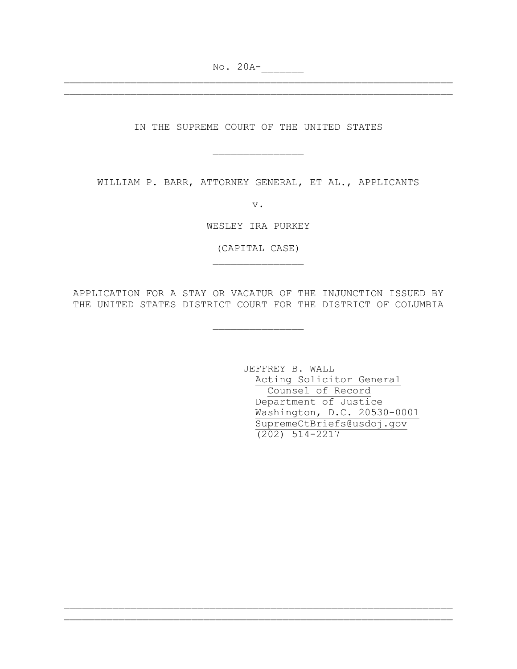No. 20A-

IN THE SUPREME COURT OF THE UNITED STATES

\_\_\_\_\_\_\_\_\_\_\_\_\_\_\_

\_\_\_\_\_\_\_\_\_\_\_\_\_\_\_\_\_\_\_\_\_\_\_\_\_\_\_\_\_\_\_\_\_\_\_\_\_\_\_\_\_\_\_\_\_\_\_\_\_\_\_\_\_\_\_\_\_\_\_\_\_\_\_\_ \_\_\_\_\_\_\_\_\_\_\_\_\_\_\_\_\_\_\_\_\_\_\_\_\_\_\_\_\_\_\_\_\_\_\_\_\_\_\_\_\_\_\_\_\_\_\_\_\_\_\_\_\_\_\_\_\_\_\_\_\_\_\_\_

WILLIAM P. BARR, ATTORNEY GENERAL, ET AL., APPLICANTS

v.

WESLEY IRA PURKEY

(CAPITAL CASE)  $\frac{1}{2}$  ,  $\frac{1}{2}$  ,  $\frac{1}{2}$  ,  $\frac{1}{2}$  ,  $\frac{1}{2}$  ,  $\frac{1}{2}$  ,  $\frac{1}{2}$  ,  $\frac{1}{2}$  ,  $\frac{1}{2}$  ,  $\frac{1}{2}$  ,  $\frac{1}{2}$  ,  $\frac{1}{2}$  ,  $\frac{1}{2}$  ,  $\frac{1}{2}$  ,  $\frac{1}{2}$  ,  $\frac{1}{2}$  ,  $\frac{1}{2}$  ,  $\frac{1}{2}$  ,  $\frac{1$ 

APPLICATION FOR A STAY OR VACATUR OF THE INJUNCTION ISSUED BY THE UNITED STATES DISTRICT COURT FOR THE DISTRICT OF COLUMBIA

\_\_\_\_\_\_\_\_\_\_\_\_\_\_\_

\_\_\_\_\_\_\_\_\_\_\_\_\_\_\_\_\_\_\_\_\_\_\_\_\_\_\_\_\_\_\_\_\_\_\_\_\_\_\_\_\_\_\_\_\_\_\_\_\_\_\_\_\_\_\_\_\_\_\_\_\_\_\_\_ \_\_\_\_\_\_\_\_\_\_\_\_\_\_\_\_\_\_\_\_\_\_\_\_\_\_\_\_\_\_\_\_\_\_\_\_\_\_\_\_\_\_\_\_\_\_\_\_\_\_\_\_\_\_\_\_\_\_\_\_\_\_\_\_

JEFFREY B. WALL Acting Solicitor General Counsel of Record Department of Justice Washington, D.C. 20530-0001 SupremeCtBriefs@usdoj.gov (202) 514-2217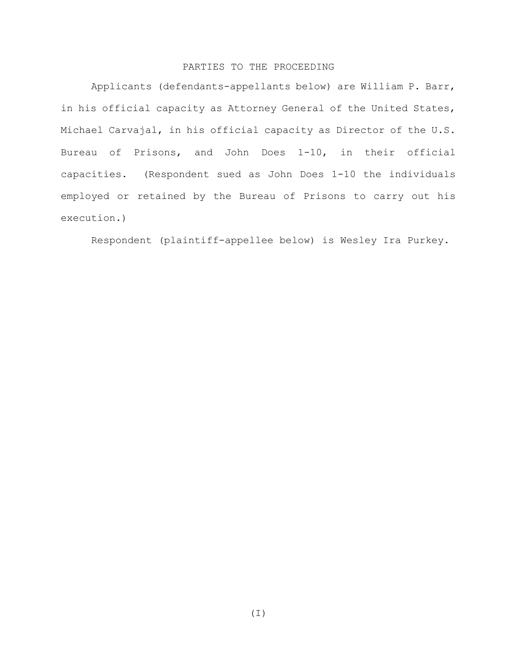## PARTIES TO THE PROCEEDING

Applicants (defendants-appellants below) are William P. Barr, in his official capacity as Attorney General of the United States, Michael Carvajal, in his official capacity as Director of the U.S. Bureau of Prisons, and John Does 1-10, in their official capacities. (Respondent sued as John Does 1-10 the individuals employed or retained by the Bureau of Prisons to carry out his execution.)

Respondent (plaintiff-appellee below) is Wesley Ira Purkey.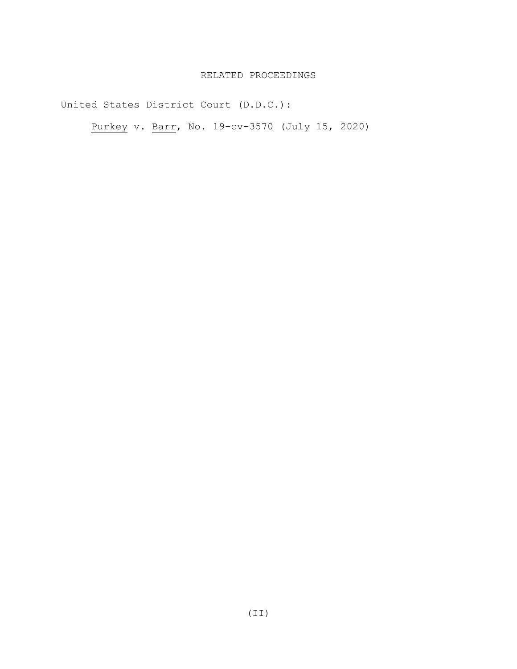## RELATED PROCEEDINGS

United States District Court (D.D.C.):

Purkey v. Barr, No. 19-cv-3570 (July 15, 2020)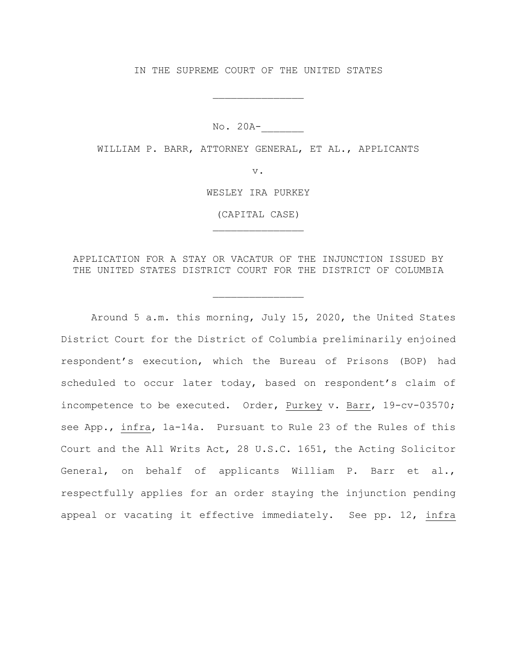IN THE SUPREME COURT OF THE UNITED STATES

\_\_\_\_\_\_\_\_\_\_\_\_\_\_\_

No. 20A-\_\_\_\_\_\_\_

WILLIAM P. BARR, ATTORNEY GENERAL, ET AL., APPLICANTS

v.

WESLEY IRA PURKEY

(CAPITAL CASE) \_\_\_\_\_\_\_\_\_\_\_\_\_\_\_

APPLICATION FOR A STAY OR VACATUR OF THE INJUNCTION ISSUED BY THE UNITED STATES DISTRICT COURT FOR THE DISTRICT OF COLUMBIA

\_\_\_\_\_\_\_\_\_\_\_\_\_\_\_

Around 5 a.m. this morning, July 15, 2020, the United States District Court for the District of Columbia preliminarily enjoined respondent's execution, which the Bureau of Prisons (BOP) had scheduled to occur later today, based on respondent's claim of incompetence to be executed. Order, Purkey v. Barr, 19-cv-03570; see App., infra, 1a-14a. Pursuant to Rule 23 of the Rules of this Court and the All Writs Act, 28 U.S.C. 1651, the Acting Solicitor General, on behalf of applicants William P. Barr et al., respectfully applies for an order staying the injunction pending appeal or vacating it effective immediately. See pp. 12, infra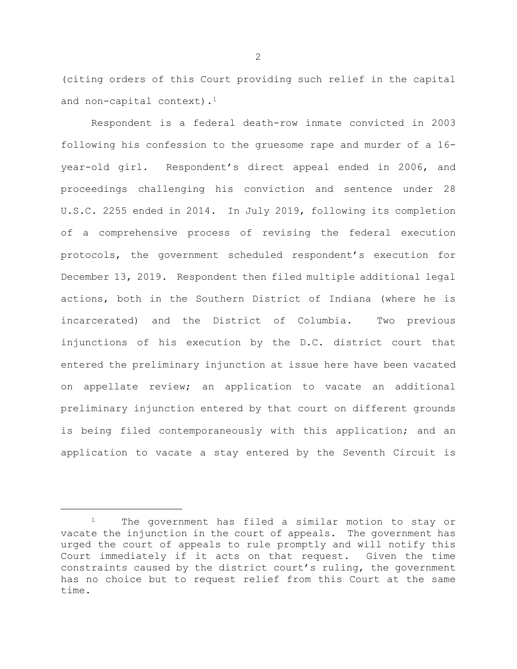(citing orders of this Court providing such relief in the capital and non-capital context).<sup>1</sup>

Respondent is a federal death-row inmate convicted in 2003 following his confession to the gruesome rape and murder of a 16 year-old girl. Respondent's direct appeal ended in 2006, and proceedings challenging his conviction and sentence under 28 U.S.C. 2255 ended in 2014. In July 2019, following its completion of a comprehensive process of revising the federal execution protocols, the government scheduled respondent's execution for December 13, 2019. Respondent then filed multiple additional legal actions, both in the Southern District of Indiana (where he is incarcerated) and the District of Columbia. Two previous injunctions of his execution by the D.C. district court that entered the preliminary injunction at issue here have been vacated on appellate review; an application to vacate an additional preliminary injunction entered by that court on different grounds is being filed contemporaneously with this application; and an application to vacate a stay entered by the Seventh Circuit is

ī

<sup>&</sup>lt;sup>1</sup> The government has filed a similar motion to stay or vacate the injunction in the court of appeals. The government has urged the court of appeals to rule promptly and will notify this Court immediately if it acts on that request. Given the time constraints caused by the district court's ruling, the government has no choice but to request relief from this Court at the same time.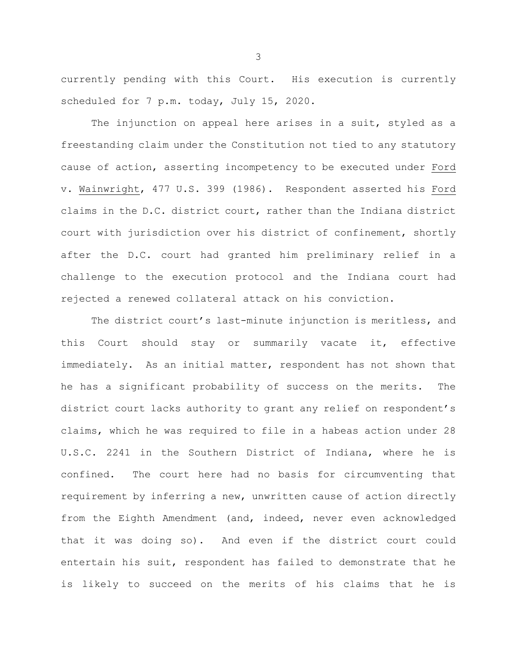currently pending with this Court. His execution is currently scheduled for 7 p.m. today, July 15, 2020.

The injunction on appeal here arises in a suit, styled as a freestanding claim under the Constitution not tied to any statutory cause of action, asserting incompetency to be executed under Ford v. Wainwright, 477 U.S. 399 (1986). Respondent asserted his Ford claims in the D.C. district court, rather than the Indiana district court with jurisdiction over his district of confinement, shortly after the D.C. court had granted him preliminary relief in a challenge to the execution protocol and the Indiana court had rejected a renewed collateral attack on his conviction.

The district court's last-minute injunction is meritless, and this Court should stay or summarily vacate it, effective immediately. As an initial matter, respondent has not shown that he has a significant probability of success on the merits. The district court lacks authority to grant any relief on respondent's claims, which he was required to file in a habeas action under 28 U.S.C. 2241 in the Southern District of Indiana, where he is confined. The court here had no basis for circumventing that requirement by inferring a new, unwritten cause of action directly from the Eighth Amendment (and, indeed, never even acknowledged that it was doing so). And even if the district court could entertain his suit, respondent has failed to demonstrate that he is likely to succeed on the merits of his claims that he is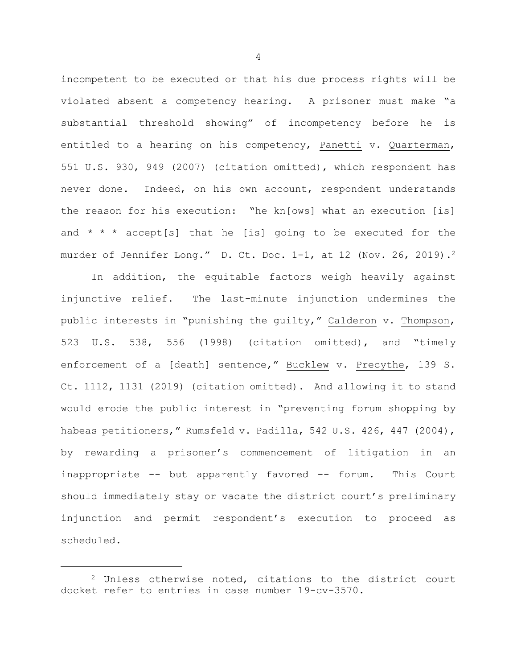incompetent to be executed or that his due process rights will be violated absent a competency hearing. A prisoner must make "a substantial threshold showing" of incompetency before he is entitled to a hearing on his competency, Panetti v. Quarterman, 551 U.S. 930, 949 (2007) (citation omitted), which respondent has never done. Indeed, on his own account, respondent understands the reason for his execution: "he kn[ows] what an execution [is] and  $* * *$  accept[s] that he [is] going to be executed for the murder of Jennifer Long." D. Ct. Doc. 1-1, at 12 (Nov. 26, 2019).<sup>2</sup>

In addition, the equitable factors weigh heavily against injunctive relief. The last-minute injunction undermines the public interests in "punishing the guilty," Calderon v. Thompson, 523 U.S. 538, 556 (1998) (citation omitted), and "timely enforcement of a [death] sentence," Bucklew v. Precythe, 139 S. Ct. 1112, 1131 (2019) (citation omitted). And allowing it to stand would erode the public interest in "preventing forum shopping by habeas petitioners," Rumsfeld v. Padilla, 542 U.S. 426, 447 (2004), by rewarding a prisoner's commencement of litigation in an inappropriate -- but apparently favored -- forum. This Court should immediately stay or vacate the district court's preliminary injunction and permit respondent's execution to proceed as scheduled.

Ĩ.

<sup>2</sup> Unless otherwise noted, citations to the district court docket refer to entries in case number 19-cv-3570.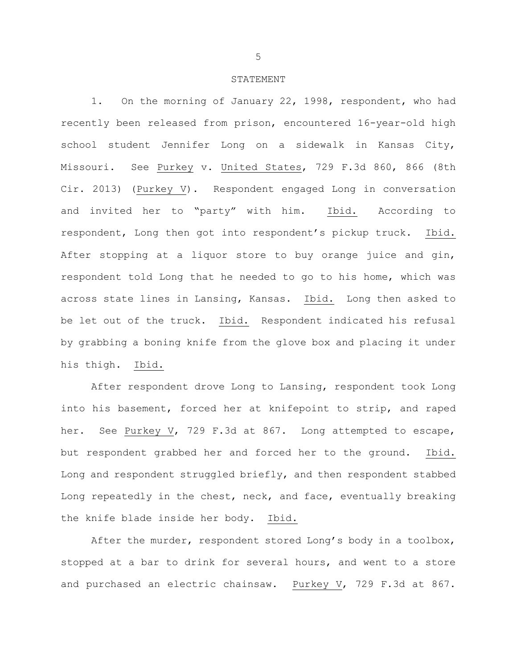#### STATEMENT

1. On the morning of January 22, 1998, respondent, who had recently been released from prison, encountered 16-year-old high school student Jennifer Long on a sidewalk in Kansas City, Missouri. See Purkey v. United States, 729 F.3d 860, 866 (8th Cir. 2013) (Purkey V). Respondent engaged Long in conversation and invited her to "party" with him. Ibid. According to respondent, Long then got into respondent's pickup truck. Ibid. After stopping at a liquor store to buy orange juice and gin, respondent told Long that he needed to go to his home, which was across state lines in Lansing, Kansas. Ibid. Long then asked to be let out of the truck. Ibid. Respondent indicated his refusal by grabbing a boning knife from the glove box and placing it under his thigh. Ibid.

After respondent drove Long to Lansing, respondent took Long into his basement, forced her at knifepoint to strip, and raped her. See Purkey V, 729 F.3d at 867. Long attempted to escape, but respondent grabbed her and forced her to the ground. Ibid. Long and respondent struggled briefly, and then respondent stabbed Long repeatedly in the chest, neck, and face, eventually breaking the knife blade inside her body. Ibid.

After the murder, respondent stored Long's body in a toolbox, stopped at a bar to drink for several hours, and went to a store and purchased an electric chainsaw. Purkey V, 729 F.3d at 867.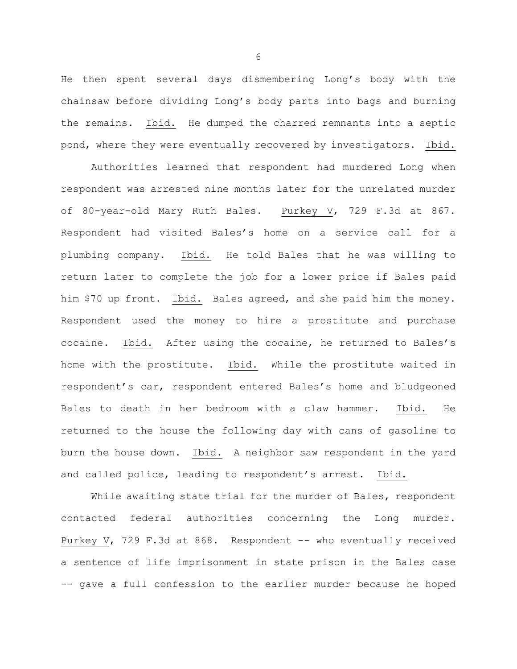He then spent several days dismembering Long's body with the chainsaw before dividing Long's body parts into bags and burning the remains. Ibid. He dumped the charred remnants into a septic pond, where they were eventually recovered by investigators. Ibid.

Authorities learned that respondent had murdered Long when respondent was arrested nine months later for the unrelated murder of 80-year-old Mary Ruth Bales. Purkey V, 729 F.3d at 867. Respondent had visited Bales's home on a service call for a plumbing company. Ibid. He told Bales that he was willing to return later to complete the job for a lower price if Bales paid him \$70 up front. Ibid. Bales agreed, and she paid him the money. Respondent used the money to hire a prostitute and purchase cocaine. Ibid. After using the cocaine, he returned to Bales's home with the prostitute. Ibid. While the prostitute waited in respondent's car, respondent entered Bales's home and bludgeoned Bales to death in her bedroom with a claw hammer. Ibid. He returned to the house the following day with cans of gasoline to burn the house down. Ibid. A neighbor saw respondent in the yard and called police, leading to respondent's arrest. Ibid.

While awaiting state trial for the murder of Bales, respondent contacted federal authorities concerning the Long murder. Purkey V, 729 F.3d at 868. Respondent -- who eventually received a sentence of life imprisonment in state prison in the Bales case -- gave a full confession to the earlier murder because he hoped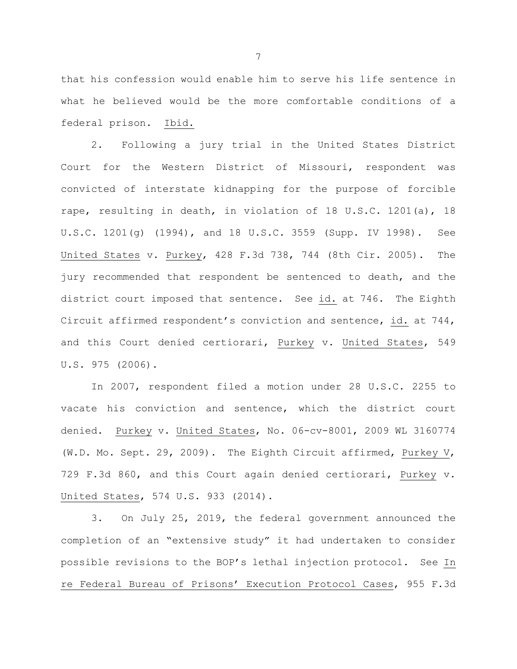that his confession would enable him to serve his life sentence in what he believed would be the more comfortable conditions of a federal prison. Ibid.

2. Following a jury trial in the United States District Court for the Western District of Missouri, respondent was convicted of interstate kidnapping for the purpose of forcible rape, resulting in death, in violation of 18 U.S.C. 1201(a), 18 U.S.C. 1201(g) (1994), and 18 U.S.C. 3559 (Supp. IV 1998). See United States v. Purkey, 428 F.3d 738, 744 (8th Cir. 2005). The jury recommended that respondent be sentenced to death, and the district court imposed that sentence. See id. at 746. The Eighth Circuit affirmed respondent's conviction and sentence, id. at 744, and this Court denied certiorari, Purkey v. United States, 549 U.S. 975 (2006).

In 2007, respondent filed a motion under 28 U.S.C. 2255 to vacate his conviction and sentence, which the district court denied. Purkey v. United States, No. 06-cv-8001, 2009 WL 3160774 (W.D. Mo. Sept. 29, 2009). The Eighth Circuit affirmed, Purkey V, 729 F.3d 860, and this Court again denied certiorari, Purkey v. United States, 574 U.S. 933 (2014).

3. On July 25, 2019, the federal government announced the completion of an "extensive study" it had undertaken to consider possible revisions to the BOP's lethal injection protocol. See In re Federal Bureau of Prisons' Execution Protocol Cases, 955 F.3d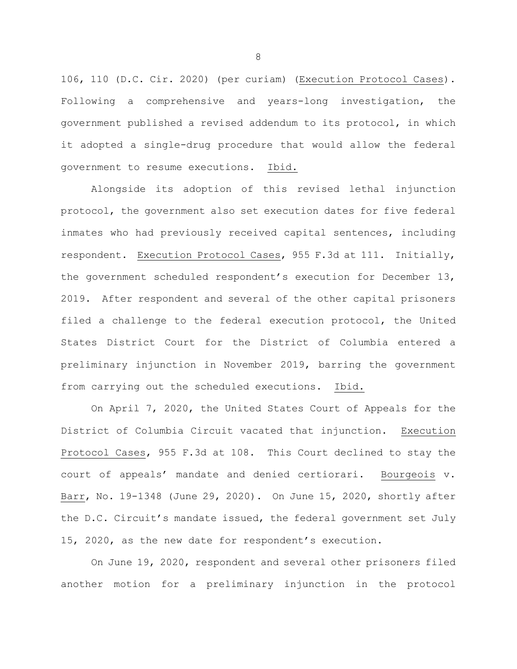106, 110 (D.C. Cir. 2020) (per curiam) (Execution Protocol Cases). Following a comprehensive and years-long investigation, the government published a revised addendum to its protocol, in which it adopted a single-drug procedure that would allow the federal government to resume executions. Ibid.

Alongside its adoption of this revised lethal injunction protocol, the government also set execution dates for five federal inmates who had previously received capital sentences, including respondent. Execution Protocol Cases, 955 F.3d at 111. Initially, the government scheduled respondent's execution for December 13, 2019. After respondent and several of the other capital prisoners filed a challenge to the federal execution protocol, the United States District Court for the District of Columbia entered a preliminary injunction in November 2019, barring the government from carrying out the scheduled executions. Ibid.

On April 7, 2020, the United States Court of Appeals for the District of Columbia Circuit vacated that injunction. Execution Protocol Cases, 955 F.3d at 108. This Court declined to stay the court of appeals' mandate and denied certiorari. Bourgeois v. Barr, No. 19-1348 (June 29, 2020). On June 15, 2020, shortly after the D.C. Circuit's mandate issued, the federal government set July 15, 2020, as the new date for respondent's execution.

On June 19, 2020, respondent and several other prisoners filed another motion for a preliminary injunction in the protocol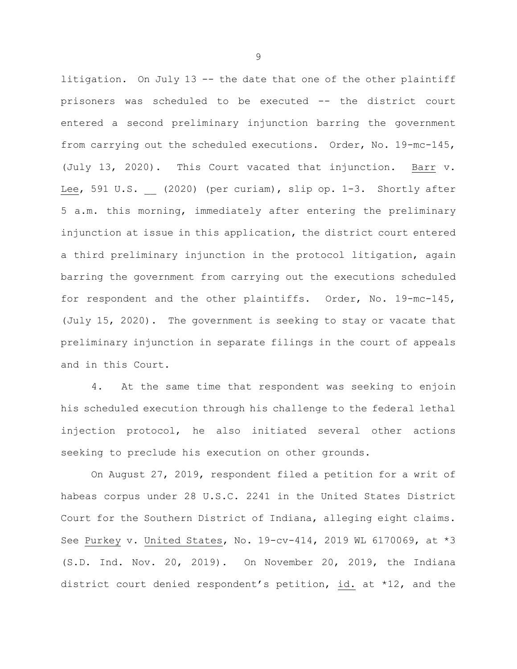litigation. On July 13 -- the date that one of the other plaintiff prisoners was scheduled to be executed -- the district court entered a second preliminary injunction barring the government from carrying out the scheduled executions. Order, No. 19-mc-145, (July 13, 2020). This Court vacated that injunction. Barr v. Lee, 591 U.S. (2020) (per curiam), slip op. 1-3. Shortly after 5 a.m. this morning, immediately after entering the preliminary injunction at issue in this application, the district court entered a third preliminary injunction in the protocol litigation, again barring the government from carrying out the executions scheduled for respondent and the other plaintiffs. Order, No. 19-mc-145, (July 15, 2020). The government is seeking to stay or vacate that preliminary injunction in separate filings in the court of appeals and in this Court.

4. At the same time that respondent was seeking to enjoin his scheduled execution through his challenge to the federal lethal injection protocol, he also initiated several other actions seeking to preclude his execution on other grounds.

On August 27, 2019, respondent filed a petition for a writ of habeas corpus under 28 U.S.C. 2241 in the United States District Court for the Southern District of Indiana, alleging eight claims. See Purkey v. United States, No. 19-cv-414, 2019 WL 6170069, at \*3 (S.D. Ind. Nov. 20, 2019). On November 20, 2019, the Indiana district court denied respondent's petition, id. at \*12, and the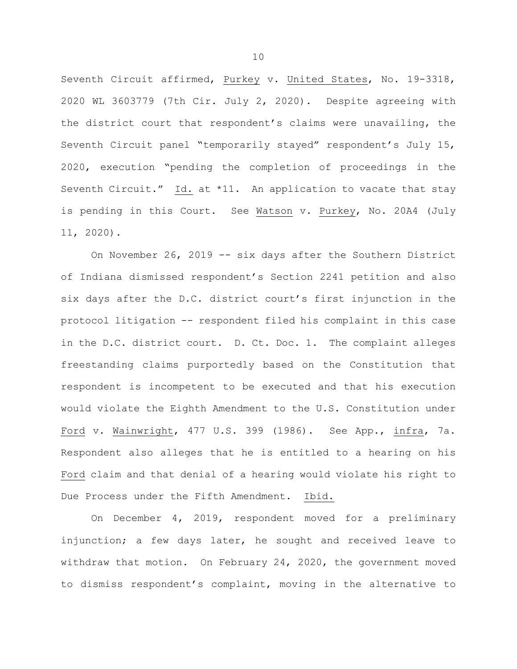Seventh Circuit affirmed, Purkey v. United States, No. 19-3318, 2020 WL 3603779 (7th Cir. July 2, 2020). Despite agreeing with the district court that respondent's claims were unavailing, the Seventh Circuit panel "temporarily stayed" respondent's July 15, 2020, execution "pending the completion of proceedings in the Seventh Circuit." Id. at \*11. An application to vacate that stay is pending in this Court. See Watson v. Purkey, No. 20A4 (July 11, 2020).

On November 26, 2019 -- six days after the Southern District of Indiana dismissed respondent's Section 2241 petition and also six days after the D.C. district court's first injunction in the protocol litigation -- respondent filed his complaint in this case in the D.C. district court. D. Ct. Doc. 1. The complaint alleges freestanding claims purportedly based on the Constitution that respondent is incompetent to be executed and that his execution would violate the Eighth Amendment to the U.S. Constitution under Ford v. Wainwright, 477 U.S. 399 (1986). See App., infra, 7a. Respondent also alleges that he is entitled to a hearing on his Ford claim and that denial of a hearing would violate his right to Due Process under the Fifth Amendment. Ibid.

On December 4, 2019, respondent moved for a preliminary injunction; a few days later, he sought and received leave to withdraw that motion. On February 24, 2020, the government moved to dismiss respondent's complaint, moving in the alternative to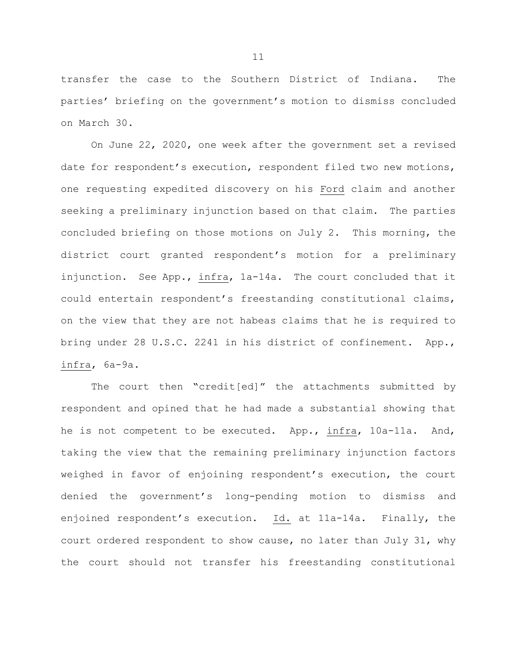transfer the case to the Southern District of Indiana. The parties' briefing on the government's motion to dismiss concluded on March 30.

On June 22, 2020, one week after the government set a revised date for respondent's execution, respondent filed two new motions, one requesting expedited discovery on his Ford claim and another seeking a preliminary injunction based on that claim. The parties concluded briefing on those motions on July 2. This morning, the district court granted respondent's motion for a preliminary injunction. See App., infra, 1a-14a. The court concluded that it could entertain respondent's freestanding constitutional claims, on the view that they are not habeas claims that he is required to bring under 28 U.S.C. 2241 in his district of confinement. App., infra, 6a-9a.

The court then "credit[ed]" the attachments submitted by respondent and opined that he had made a substantial showing that he is not competent to be executed. App., infra, 10a-11a. And, taking the view that the remaining preliminary injunction factors weighed in favor of enjoining respondent's execution, the court denied the government's long-pending motion to dismiss and enjoined respondent's execution. Id. at 11a-14a. Finally, the court ordered respondent to show cause, no later than July 31, why the court should not transfer his freestanding constitutional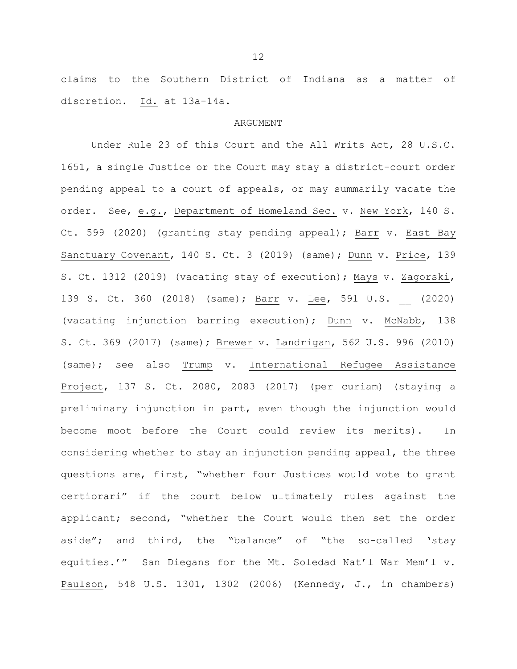claims to the Southern District of Indiana as a matter of discretion. Id. at 13a-14a.

#### ARGUMENT

Under Rule 23 of this Court and the All Writs Act, 28 U.S.C. 1651, a single Justice or the Court may stay a district-court order pending appeal to a court of appeals, or may summarily vacate the order. See, e.g., Department of Homeland Sec. v. New York, 140 S. Ct. 599 (2020) (granting stay pending appeal); Barr v. East Bay Sanctuary Covenant, 140 S. Ct. 3 (2019) (same); Dunn v. Price, 139 S. Ct. 1312 (2019) (vacating stay of execution); Mays v. Zagorski, 139 S. Ct. 360 (2018) (same); Barr v. Lee, 591 U.S. (2020) (vacating injunction barring execution); Dunn v. McNabb, 138 S. Ct. 369 (2017) (same); Brewer v. Landrigan, 562 U.S. 996 (2010) (same); see also Trump v. International Refugee Assistance Project, 137 S. Ct. 2080, 2083 (2017) (per curiam) (staying a preliminary injunction in part, even though the injunction would become moot before the Court could review its merits). In considering whether to stay an injunction pending appeal, the three questions are, first, "whether four Justices would vote to grant certiorari" if the court below ultimately rules against the applicant; second, "whether the Court would then set the order aside"; and third, the "balance" of "the so-called 'stay equities.'" San Diegans for the Mt. Soledad Nat'l War Mem'l v. Paulson, 548 U.S. 1301, 1302 (2006) (Kennedy, J., in chambers)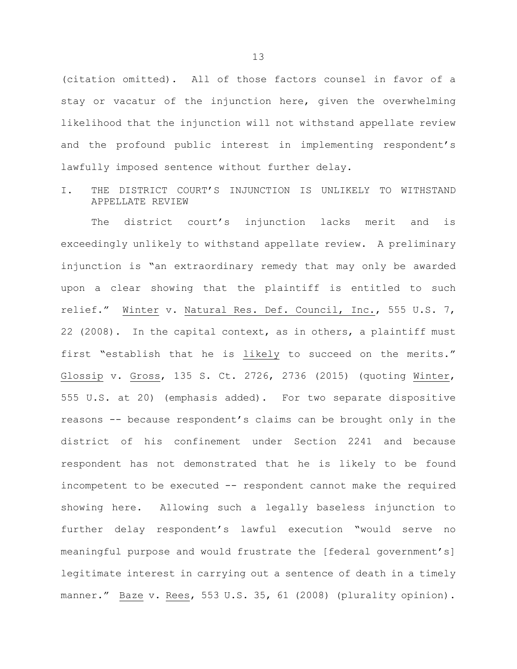(citation omitted). All of those factors counsel in favor of a stay or vacatur of the injunction here, given the overwhelming likelihood that the injunction will not withstand appellate review and the profound public interest in implementing respondent's lawfully imposed sentence without further delay.

I. THE DISTRICT COURT'S INJUNCTION IS UNLIKELY TO WITHSTAND APPELLATE REVIEW

The district court's injunction lacks merit and is exceedingly unlikely to withstand appellate review. A preliminary injunction is "an extraordinary remedy that may only be awarded upon a clear showing that the plaintiff is entitled to such relief." Winter v. Natural Res. Def. Council, Inc., 555 U.S. 7, 22 (2008). In the capital context, as in others, a plaintiff must first "establish that he is likely to succeed on the merits." Glossip v. Gross, 135 S. Ct. 2726, 2736 (2015) (quoting Winter, 555 U.S. at 20) (emphasis added). For two separate dispositive reasons -- because respondent's claims can be brought only in the district of his confinement under Section 2241 and because respondent has not demonstrated that he is likely to be found incompetent to be executed -- respondent cannot make the required showing here. Allowing such a legally baseless injunction to further delay respondent's lawful execution "would serve no meaningful purpose and would frustrate the [federal government's] legitimate interest in carrying out a sentence of death in a timely manner." Baze v. Rees, 553 U.S. 35, 61 (2008) (plurality opinion).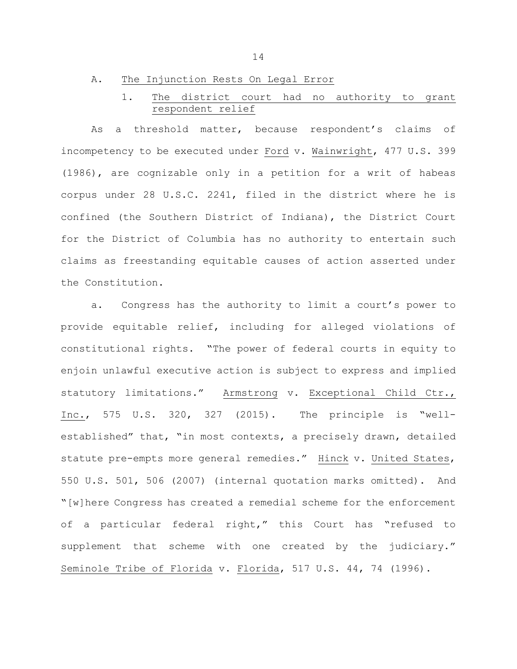### A. The Injunction Rests On Legal Error

# 1. The district court had no authority to grant respondent relief

As a threshold matter, because respondent's claims of incompetency to be executed under Ford v. Wainwright, 477 U.S. 399 (1986), are cognizable only in a petition for a writ of habeas corpus under 28 U.S.C. 2241, filed in the district where he is confined (the Southern District of Indiana), the District Court for the District of Columbia has no authority to entertain such claims as freestanding equitable causes of action asserted under the Constitution.

a. Congress has the authority to limit a court's power to provide equitable relief, including for alleged violations of constitutional rights. "The power of federal courts in equity to enjoin unlawful executive action is subject to express and implied statutory limitations." Armstrong v. Exceptional Child Ctr., Inc., 575 U.S. 320, 327 (2015). The principle is "wellestablished" that, "in most contexts, a precisely drawn, detailed statute pre-empts more general remedies." Hinck v. United States, 550 U.S. 501, 506 (2007) (internal quotation marks omitted). And "[w]here Congress has created a remedial scheme for the enforcement of a particular federal right," this Court has "refused to supplement that scheme with one created by the judiciary." Seminole Tribe of Florida v. Florida, 517 U.S. 44, 74 (1996).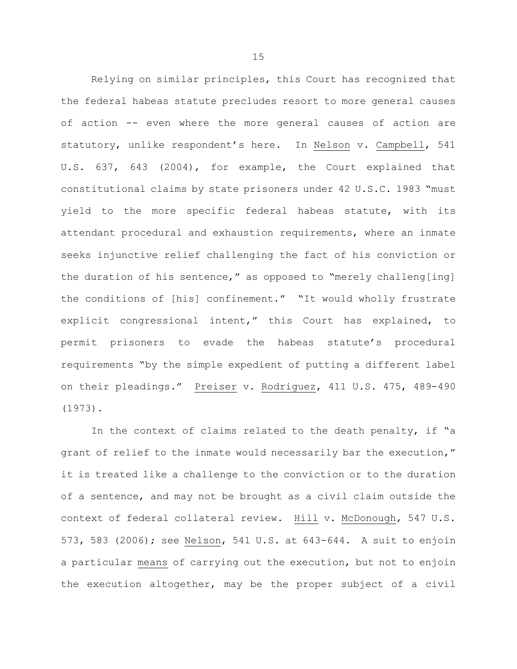Relying on similar principles, this Court has recognized that the federal habeas statute precludes resort to more general causes of action -- even where the more general causes of action are statutory, unlike respondent's here. In Nelson v. Campbell, 541 U.S. 637, 643 (2004), for example, the Court explained that constitutional claims by state prisoners under 42 U.S.C. 1983 "must yield to the more specific federal habeas statute, with its attendant procedural and exhaustion requirements, where an inmate seeks injunctive relief challenging the fact of his conviction or the duration of his sentence," as opposed to "merely challeng[ing] the conditions of [his] confinement." "It would wholly frustrate explicit congressional intent," this Court has explained, to permit prisoners to evade the habeas statute's procedural requirements "by the simple expedient of putting a different label on their pleadings." Preiser v. Rodriguez, 411 U.S. 475, 489-490 (1973).

In the context of claims related to the death penalty, if "a grant of relief to the inmate would necessarily bar the execution," it is treated like a challenge to the conviction or to the duration of a sentence, and may not be brought as a civil claim outside the context of federal collateral review. Hill v. McDonough, 547 U.S. 573, 583 (2006); see Nelson, 541 U.S. at 643-644. A suit to enjoin a particular means of carrying out the execution, but not to enjoin the execution altogether, may be the proper subject of a civil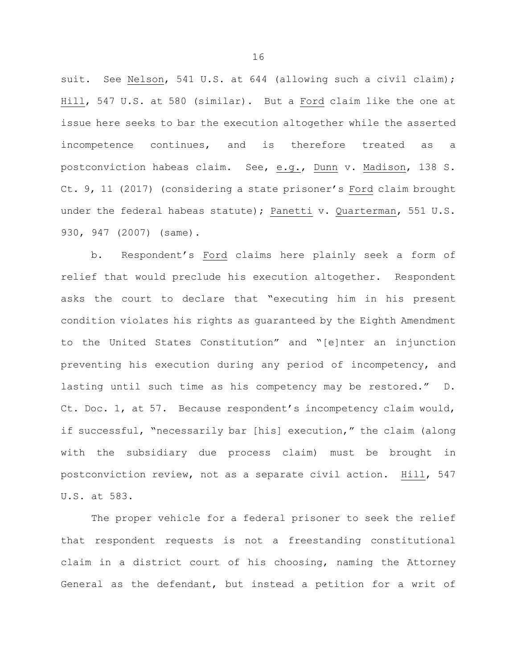suit. See Nelson, 541 U.S. at 644 (allowing such a civil claim); Hill, 547 U.S. at 580 (similar). But a Ford claim like the one at issue here seeks to bar the execution altogether while the asserted incompetence continues, and is therefore treated as a postconviction habeas claim. See, e.g., Dunn v. Madison, 138 S. Ct. 9, 11 (2017) (considering a state prisoner's Ford claim brought under the federal habeas statute); Panetti v. Quarterman, 551 U.S. 930, 947 (2007) (same).

b. Respondent's Ford claims here plainly seek a form of relief that would preclude his execution altogether. Respondent asks the court to declare that "executing him in his present condition violates his rights as guaranteed by the Eighth Amendment to the United States Constitution" and "[e]nter an injunction preventing his execution during any period of incompetency, and lasting until such time as his competency may be restored." D. Ct. Doc. 1, at 57. Because respondent's incompetency claim would, if successful, "necessarily bar [his] execution," the claim (along with the subsidiary due process claim) must be brought in postconviction review, not as a separate civil action. Hill, 547 U.S. at 583.

The proper vehicle for a federal prisoner to seek the relief that respondent requests is not a freestanding constitutional claim in a district court of his choosing, naming the Attorney General as the defendant, but instead a petition for a writ of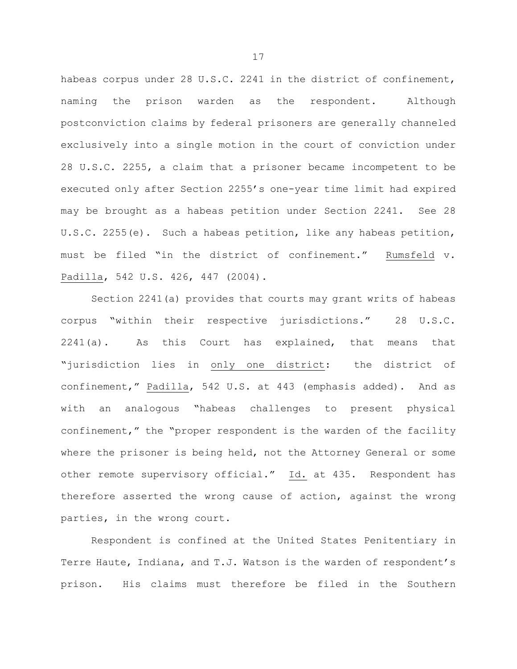habeas corpus under 28 U.S.C. 2241 in the district of confinement, naming the prison warden as the respondent. Although postconviction claims by federal prisoners are generally channeled exclusively into a single motion in the court of conviction under 28 U.S.C. 2255, a claim that a prisoner became incompetent to be executed only after Section 2255's one-year time limit had expired may be brought as a habeas petition under Section 2241. See 28 U.S.C. 2255(e). Such a habeas petition, like any habeas petition, must be filed "in the district of confinement." Rumsfeld v. Padilla, 542 U.S. 426, 447 (2004).

Section 2241(a) provides that courts may grant writs of habeas corpus "within their respective jurisdictions." 28 U.S.C. 2241(a). As this Court has explained, that means that "jurisdiction lies in only one district: the district of confinement," Padilla, 542 U.S. at 443 (emphasis added). And as with an analogous "habeas challenges to present physical confinement," the "proper respondent is the warden of the facility where the prisoner is being held, not the Attorney General or some other remote supervisory official." Id. at 435. Respondent has therefore asserted the wrong cause of action, against the wrong parties, in the wrong court.

Respondent is confined at the United States Penitentiary in Terre Haute, Indiana, and T.J. Watson is the warden of respondent's prison. His claims must therefore be filed in the Southern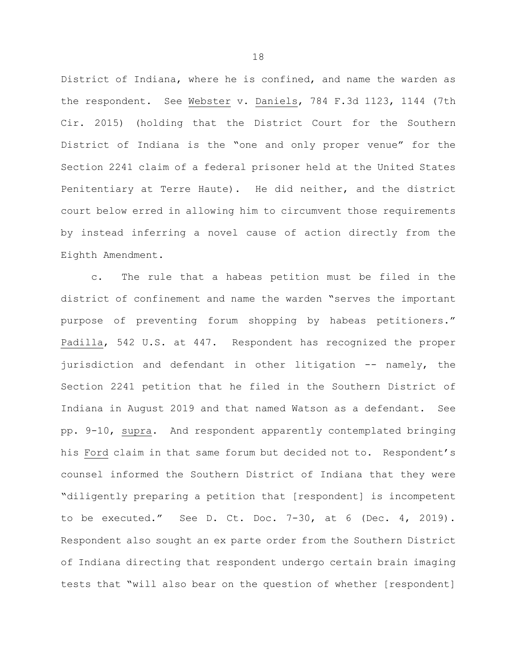District of Indiana, where he is confined, and name the warden as the respondent. See Webster v. Daniels, 784 F.3d 1123, 1144 (7th Cir. 2015) (holding that the District Court for the Southern District of Indiana is the "one and only proper venue" for the Section 2241 claim of a federal prisoner held at the United States Penitentiary at Terre Haute). He did neither, and the district court below erred in allowing him to circumvent those requirements by instead inferring a novel cause of action directly from the Eighth Amendment.

c. The rule that a habeas petition must be filed in the district of confinement and name the warden "serves the important purpose of preventing forum shopping by habeas petitioners." Padilla, 542 U.S. at 447. Respondent has recognized the proper jurisdiction and defendant in other litigation -- namely, the Section 2241 petition that he filed in the Southern District of Indiana in August 2019 and that named Watson as a defendant. See pp. 9-10, supra. And respondent apparently contemplated bringing his Ford claim in that same forum but decided not to. Respondent's counsel informed the Southern District of Indiana that they were "diligently preparing a petition that [respondent] is incompetent to be executed." See D. Ct. Doc. 7-30, at 6 (Dec. 4, 2019). Respondent also sought an ex parte order from the Southern District of Indiana directing that respondent undergo certain brain imaging tests that "will also bear on the question of whether [respondent]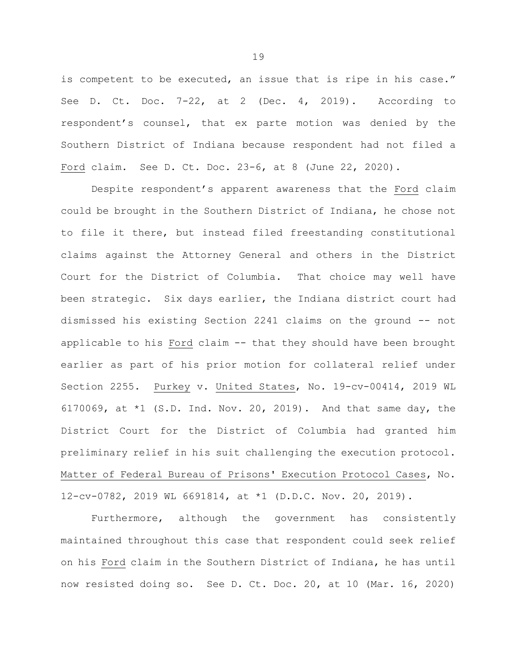is competent to be executed, an issue that is ripe in his case." See D. Ct. Doc. 7-22, at 2 (Dec. 4, 2019). According to respondent's counsel, that ex parte motion was denied by the Southern District of Indiana because respondent had not filed a Ford claim. See D. Ct. Doc. 23-6, at 8 (June 22, 2020).

Despite respondent's apparent awareness that the Ford claim could be brought in the Southern District of Indiana, he chose not to file it there, but instead filed freestanding constitutional claims against the Attorney General and others in the District Court for the District of Columbia. That choice may well have been strategic. Six days earlier, the Indiana district court had dismissed his existing Section 2241 claims on the ground -- not applicable to his Ford claim -- that they should have been brought earlier as part of his prior motion for collateral relief under Section 2255. Purkey v. United States, No. 19-cv-00414, 2019 WL 6170069, at \*1 (S.D. Ind. Nov. 20, 2019). And that same day, the District Court for the District of Columbia had granted him preliminary relief in his suit challenging the execution protocol. Matter of Federal Bureau of Prisons' Execution Protocol Cases, No. 12-cv-0782, 2019 WL 6691814, at \*1 (D.D.C. Nov. 20, 2019).

Furthermore, although the government has consistently maintained throughout this case that respondent could seek relief on his Ford claim in the Southern District of Indiana, he has until now resisted doing so. See D. Ct. Doc. 20, at 10 (Mar. 16, 2020)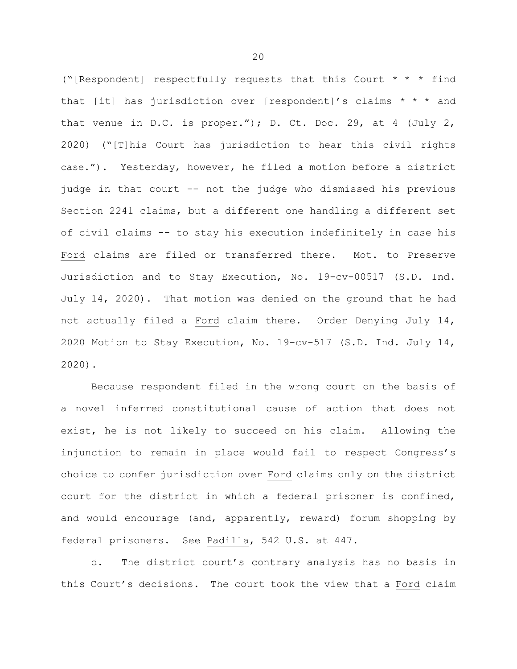("[Respondent] respectfully requests that this Court \* \* \* find that [it] has jurisdiction over [respondent]'s claims  $* * *$  and that venue in D.C. is proper."); D. Ct. Doc. 29, at 4 (July 2, 2020) ("[T]his Court has jurisdiction to hear this civil rights case."). Yesterday, however, he filed a motion before a district judge in that court -- not the judge who dismissed his previous Section 2241 claims, but a different one handling a different set of civil claims -- to stay his execution indefinitely in case his Ford claims are filed or transferred there. Mot. to Preserve Jurisdiction and to Stay Execution, No. 19-cv-00517 (S.D. Ind. July 14, 2020). That motion was denied on the ground that he had not actually filed a Ford claim there. Order Denying July 14, 2020 Motion to Stay Execution, No. 19-cv-517 (S.D. Ind. July 14, 2020).

Because respondent filed in the wrong court on the basis of a novel inferred constitutional cause of action that does not exist, he is not likely to succeed on his claim. Allowing the injunction to remain in place would fail to respect Congress's choice to confer jurisdiction over Ford claims only on the district court for the district in which a federal prisoner is confined, and would encourage (and, apparently, reward) forum shopping by federal prisoners. See Padilla, 542 U.S. at 447.

d. The district court's contrary analysis has no basis in this Court's decisions. The court took the view that a Ford claim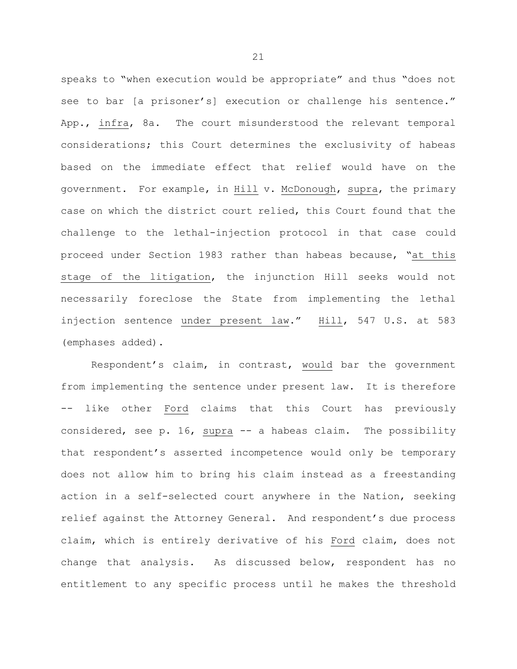speaks to "when execution would be appropriate" and thus "does not see to bar [a prisoner's] execution or challenge his sentence." App., infra, 8a. The court misunderstood the relevant temporal considerations; this Court determines the exclusivity of habeas based on the immediate effect that relief would have on the government. For example, in Hill v. McDonough, supra, the primary case on which the district court relied, this Court found that the challenge to the lethal-injection protocol in that case could proceed under Section 1983 rather than habeas because, "at this stage of the litigation, the injunction Hill seeks would not necessarily foreclose the State from implementing the lethal injection sentence under present law." Hill, 547 U.S. at 583 (emphases added).

Respondent's claim, in contrast, would bar the government from implementing the sentence under present law. It is therefore -- like other Ford claims that this Court has previously considered, see p. 16, supra -- a habeas claim. The possibility that respondent's asserted incompetence would only be temporary does not allow him to bring his claim instead as a freestanding action in a self-selected court anywhere in the Nation, seeking relief against the Attorney General. And respondent's due process claim, which is entirely derivative of his Ford claim, does not change that analysis. As discussed below, respondent has no entitlement to any specific process until he makes the threshold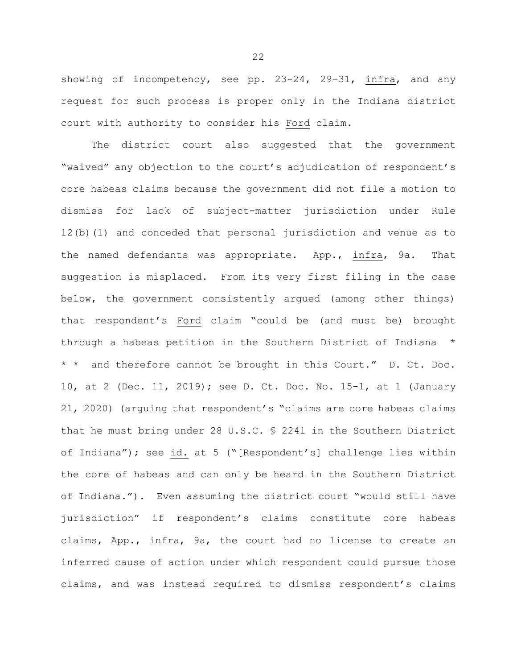showing of incompetency, see pp. 23-24, 29-31, infra, and any request for such process is proper only in the Indiana district court with authority to consider his Ford claim.

The district court also suggested that the government "waived" any objection to the court's adjudication of respondent's core habeas claims because the government did not file a motion to dismiss for lack of subject-matter jurisdiction under Rule 12(b)(1) and conceded that personal jurisdiction and venue as to the named defendants was appropriate. App., infra, 9a. That suggestion is misplaced. From its very first filing in the case below, the government consistently argued (among other things) that respondent's Ford claim "could be (and must be) brought through a habeas petition in the Southern District of Indiana \* \* \* and therefore cannot be brought in this Court." D. Ct. Doc. 10, at 2 (Dec. 11, 2019); see D. Ct. Doc. No. 15-1, at 1 (January 21, 2020) (arguing that respondent's "claims are core habeas claims that he must bring under 28 U.S.C. § 2241 in the Southern District of Indiana"); see id. at 5 ("[Respondent's] challenge lies within the core of habeas and can only be heard in the Southern District of Indiana."). Even assuming the district court "would still have jurisdiction" if respondent's claims constitute core habeas claims, App., infra, 9a, the court had no license to create an inferred cause of action under which respondent could pursue those claims, and was instead required to dismiss respondent's claims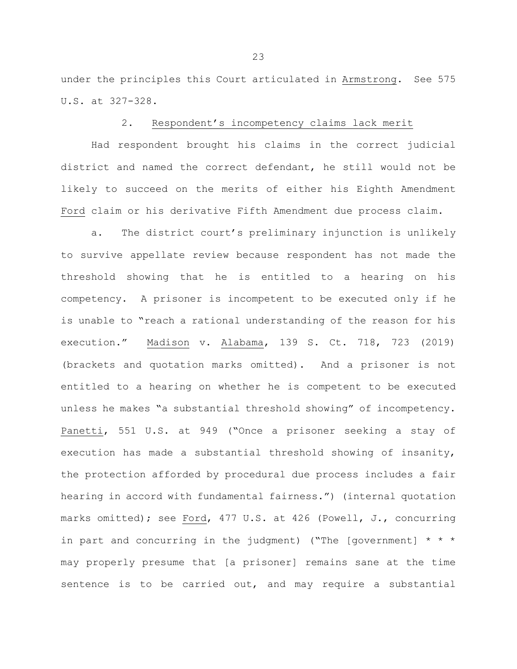under the principles this Court articulated in Armstrong. See 575 U.S. at 327-328.

### 2. Respondent's incompetency claims lack merit

Had respondent brought his claims in the correct judicial district and named the correct defendant, he still would not be likely to succeed on the merits of either his Eighth Amendment Ford claim or his derivative Fifth Amendment due process claim.

a. The district court's preliminary injunction is unlikely to survive appellate review because respondent has not made the threshold showing that he is entitled to a hearing on his competency. A prisoner is incompetent to be executed only if he is unable to "reach a rational understanding of the reason for his execution." Madison v. Alabama, 139 S. Ct. 718, 723 (2019) (brackets and quotation marks omitted). And a prisoner is not entitled to a hearing on whether he is competent to be executed unless he makes "a substantial threshold showing" of incompetency. Panetti, 551 U.S. at 949 ("Once a prisoner seeking a stay of execution has made a substantial threshold showing of insanity, the protection afforded by procedural due process includes a fair hearing in accord with fundamental fairness.") (internal quotation marks omitted); see Ford, 477 U.S. at 426 (Powell, J., concurring in part and concurring in the judgment) ("The [government] \* \* \* may properly presume that [a prisoner] remains sane at the time sentence is to be carried out, and may require a substantial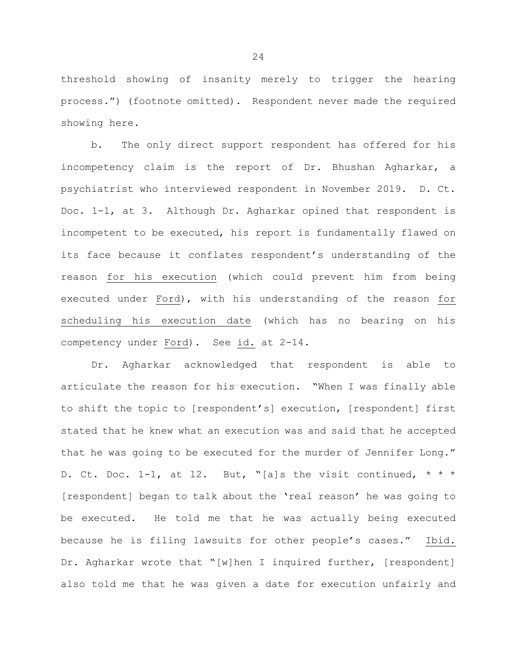threshold showing of insanity merely to trigger the hearing process.") (footnote omitted). Respondent never made the required showing here.

b. The only direct support respondent has offered for his incompetency claim is the report of Dr. Bhushan Agharkar, a psychiatrist who interviewed respondent in November 2019. D. Ct. Doc. 1-1, at 3. Although Dr. Agharkar opined that respondent is incompetent to be executed, his report is fundamentally flawed on its face because it conflates respondent's understanding of the reason for his execution (which could prevent him from being executed under Ford), with his understanding of the reason for scheduling his execution date (which has no bearing on his competency under Ford). See id. at 2-14.

Dr. Agharkar acknowledged that respondent is able to articulate the reason for his execution. "When I was finally able to shift the topic to [respondent's] execution, [respondent] first stated that he knew what an execution was and said that he accepted that he was going to be executed for the murder of Jennifer Long." D. Ct. Doc. 1-1, at 12. But, "[a]s the visit continued,  $* * *$ [respondent] began to talk about the 'real reason' he was going to be executed. He told me that he was actually being executed because he is filing lawsuits for other people's cases." Ibid. Dr. Agharkar wrote that "[w]hen I inquired further, [respondent] also told me that he was given a date for execution unfairly and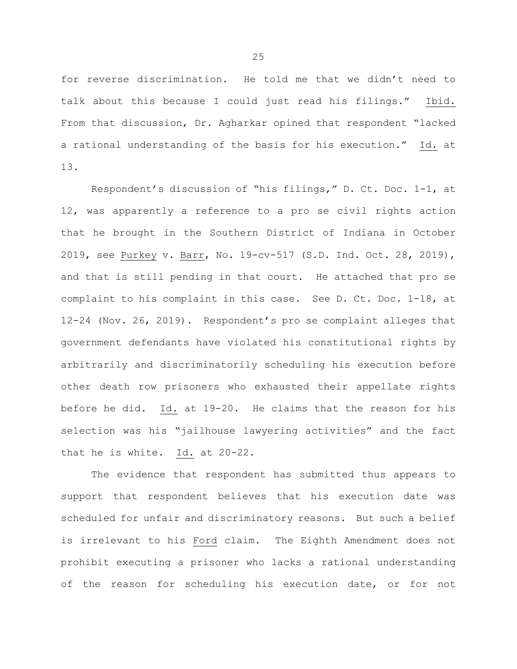for reverse discrimination. He told me that we didn't need to talk about this because I could just read his filings." Ibid. From that discussion, Dr. Agharkar opined that respondent "lacked a rational understanding of the basis for his execution." Id. at 13.

Respondent's discussion of "his filings," D. Ct. Doc. 1-1, at 12, was apparently a reference to a pro se civil rights action that he brought in the Southern District of Indiana in October 2019, see Purkey v. Barr, No. 19-cv-517 (S.D. Ind. Oct. 28, 2019), and that is still pending in that court. He attached that pro se complaint to his complaint in this case. See D. Ct. Doc. 1-18, at 12-24 (Nov. 26, 2019). Respondent's pro se complaint alleges that government defendants have violated his constitutional rights by arbitrarily and discriminatorily scheduling his execution before other death row prisoners who exhausted their appellate rights before he did. Id. at 19-20. He claims that the reason for his selection was his "jailhouse lawyering activities" and the fact that he is white. Id. at 20-22.

The evidence that respondent has submitted thus appears to support that respondent believes that his execution date was scheduled for unfair and discriminatory reasons. But such a belief is irrelevant to his Ford claim. The Eighth Amendment does not prohibit executing a prisoner who lacks a rational understanding of the reason for scheduling his execution date, or for not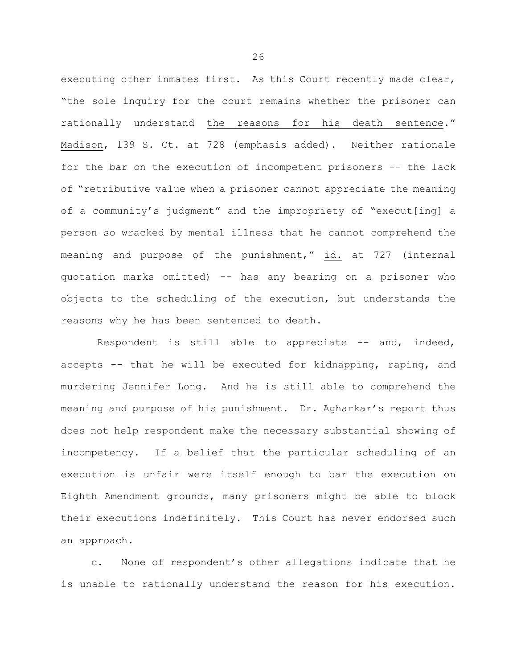executing other inmates first. As this Court recently made clear, "the sole inquiry for the court remains whether the prisoner can rationally understand the reasons for his death sentence." Madison, 139 S. Ct. at 728 (emphasis added). Neither rationale for the bar on the execution of incompetent prisoners -- the lack of "retributive value when a prisoner cannot appreciate the meaning of a community's judgment" and the impropriety of "execut[ing] a person so wracked by mental illness that he cannot comprehend the meaning and purpose of the punishment," id. at 727 (internal quotation marks omitted) -- has any bearing on a prisoner who objects to the scheduling of the execution, but understands the reasons why he has been sentenced to death.

Respondent is still able to appreciate -- and, indeed, accepts -- that he will be executed for kidnapping, raping, and murdering Jennifer Long. And he is still able to comprehend the meaning and purpose of his punishment. Dr. Agharkar's report thus does not help respondent make the necessary substantial showing of incompetency. If a belief that the particular scheduling of an execution is unfair were itself enough to bar the execution on Eighth Amendment grounds, many prisoners might be able to block their executions indefinitely. This Court has never endorsed such an approach.

 c. None of respondent's other allegations indicate that he is unable to rationally understand the reason for his execution.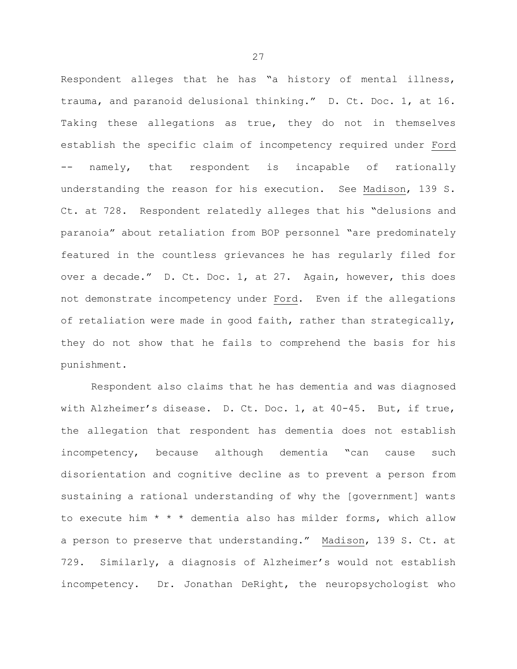Respondent alleges that he has "a history of mental illness, trauma, and paranoid delusional thinking." D. Ct. Doc. 1, at 16. Taking these allegations as true, they do not in themselves establish the specific claim of incompetency required under Ford -- namely, that respondent is incapable of rationally understanding the reason for his execution. See Madison, 139 S. Ct. at 728. Respondent relatedly alleges that his "delusions and paranoia" about retaliation from BOP personnel "are predominately featured in the countless grievances he has regularly filed for over a decade." D. Ct. Doc. 1, at 27. Again, however, this does not demonstrate incompetency under Ford. Even if the allegations of retaliation were made in good faith, rather than strategically, they do not show that he fails to comprehend the basis for his punishment.

Respondent also claims that he has dementia and was diagnosed with Alzheimer's disease. D. Ct. Doc. 1, at 40-45. But, if true, the allegation that respondent has dementia does not establish incompetency, because although dementia "can cause such disorientation and cognitive decline as to prevent a person from sustaining a rational understanding of why the [government] wants to execute him \* \* \* dementia also has milder forms, which allow a person to preserve that understanding." Madison, 139 S. Ct. at 729. Similarly, a diagnosis of Alzheimer's would not establish incompetency. Dr. Jonathan DeRight, the neuropsychologist who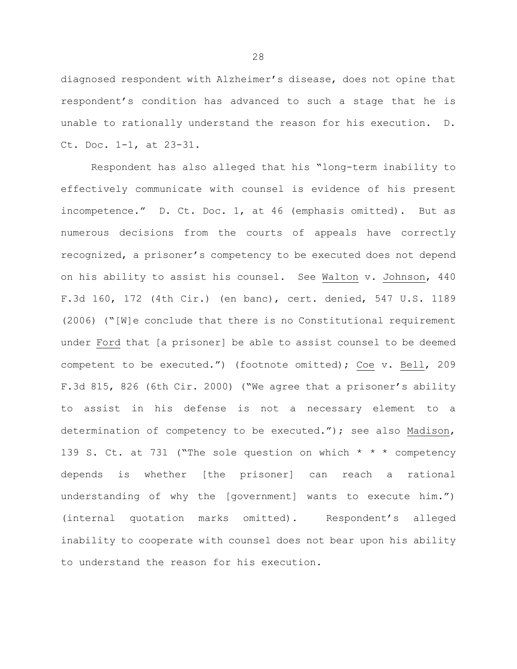diagnosed respondent with Alzheimer's disease, does not opine that respondent's condition has advanced to such a stage that he is unable to rationally understand the reason for his execution. D. Ct. Doc. 1-1, at 23-31.

Respondent has also alleged that his "long-term inability to effectively communicate with counsel is evidence of his present incompetence." D. Ct. Doc. 1, at 46 (emphasis omitted). But as numerous decisions from the courts of appeals have correctly recognized, a prisoner's competency to be executed does not depend on his ability to assist his counsel. See Walton v. Johnson, 440 F.3d 160, 172 (4th Cir.) (en banc), cert. denied, 547 U.S. 1189 (2006) ("[W]e conclude that there is no Constitutional requirement under Ford that [a prisoner] be able to assist counsel to be deemed competent to be executed.") (footnote omitted); Coe v. Bell, 209 F.3d 815, 826 (6th Cir. 2000) ("We agree that a prisoner's ability to assist in his defense is not a necessary element to a determination of competency to be executed."); see also Madison, 139 S. Ct. at 731 ("The sole question on which \* \* \* competency depends is whether [the prisoner] can reach a rational understanding of why the [government] wants to execute him.") (internal quotation marks omitted). Respondent's alleged inability to cooperate with counsel does not bear upon his ability to understand the reason for his execution.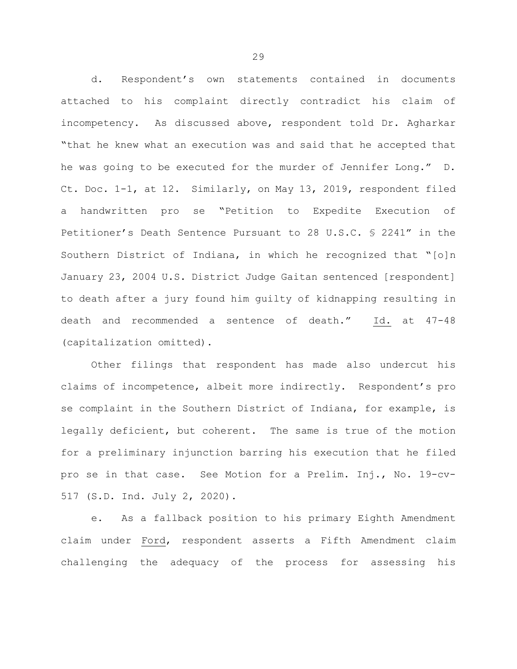d. Respondent's own statements contained in documents attached to his complaint directly contradict his claim of incompetency. As discussed above, respondent told Dr. Agharkar "that he knew what an execution was and said that he accepted that he was going to be executed for the murder of Jennifer Long." D. Ct. Doc. 1-1, at 12. Similarly, on May 13, 2019, respondent filed a handwritten pro se "Petition to Expedite Execution of Petitioner's Death Sentence Pursuant to 28 U.S.C. § 2241" in the Southern District of Indiana, in which he recognized that "[o]n January 23, 2004 U.S. District Judge Gaitan sentenced [respondent] to death after a jury found him guilty of kidnapping resulting in death and recommended a sentence of death." Id. at 47-48 (capitalization omitted).

Other filings that respondent has made also undercut his claims of incompetence, albeit more indirectly. Respondent's pro se complaint in the Southern District of Indiana, for example, is legally deficient, but coherent. The same is true of the motion for a preliminary injunction barring his execution that he filed pro se in that case. See Motion for a Prelim. Inj., No. 19-cv-517 (S.D. Ind. July 2, 2020).

e. As a fallback position to his primary Eighth Amendment claim under Ford, respondent asserts a Fifth Amendment claim challenging the adequacy of the process for assessing his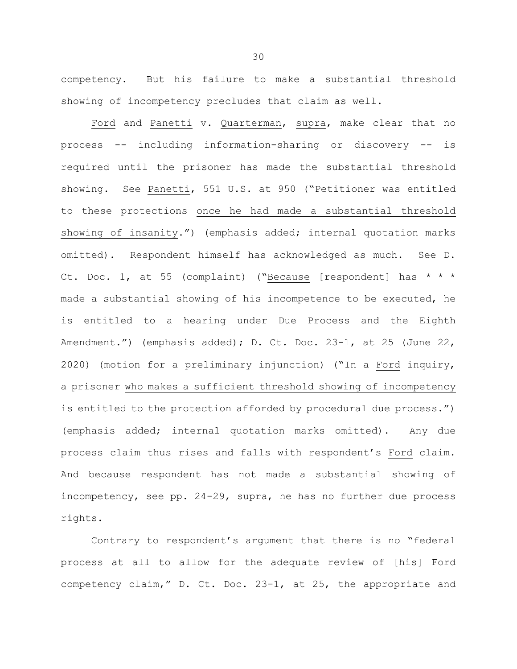competency. But his failure to make a substantial threshold showing of incompetency precludes that claim as well.

Ford and Panetti v. Quarterman, supra, make clear that no process -- including information-sharing or discovery -- is required until the prisoner has made the substantial threshold showing. See Panetti, 551 U.S. at 950 ("Petitioner was entitled to these protections once he had made a substantial threshold showing of insanity.") (emphasis added; internal quotation marks omitted). Respondent himself has acknowledged as much. See D. Ct. Doc. 1, at 55 (complaint) ("Because [respondent] has  $* * *$ made a substantial showing of his incompetence to be executed, he is entitled to a hearing under Due Process and the Eighth Amendment.") (emphasis added); D. Ct. Doc. 23-1, at 25 (June 22, 2020) (motion for a preliminary injunction) ("In a Ford inquiry, a prisoner who makes a sufficient threshold showing of incompetency is entitled to the protection afforded by procedural due process.") (emphasis added; internal quotation marks omitted). Any due process claim thus rises and falls with respondent's Ford claim. And because respondent has not made a substantial showing of incompetency, see pp. 24-29, supra, he has no further due process rights.

Contrary to respondent's argument that there is no "federal process at all to allow for the adequate review of [his] Ford competency claim," D. Ct. Doc. 23-1, at 25, the appropriate and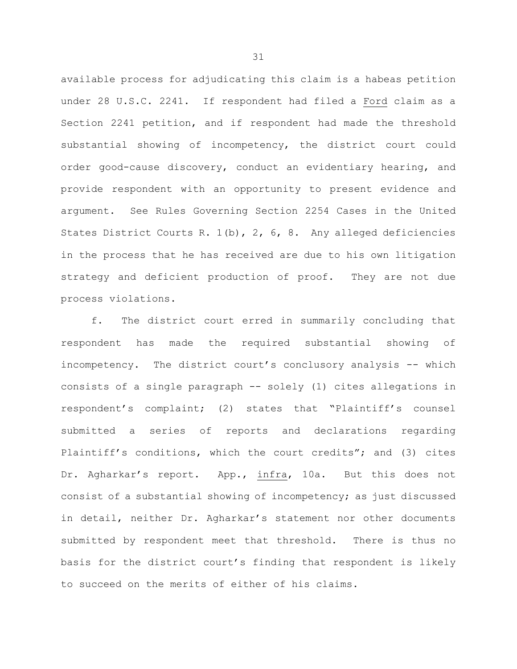available process for adjudicating this claim is a habeas petition under 28 U.S.C. 2241. If respondent had filed a Ford claim as a Section 2241 petition, and if respondent had made the threshold substantial showing of incompetency, the district court could order good-cause discovery, conduct an evidentiary hearing, and provide respondent with an opportunity to present evidence and argument. See Rules Governing Section 2254 Cases in the United States District Courts R. 1(b), 2, 6, 8. Any alleged deficiencies in the process that he has received are due to his own litigation strategy and deficient production of proof. They are not due process violations.

f. The district court erred in summarily concluding that respondent has made the required substantial showing of incompetency. The district court's conclusory analysis -- which consists of a single paragraph -- solely (1) cites allegations in respondent's complaint; (2) states that "Plaintiff's counsel submitted a series of reports and declarations regarding Plaintiff's conditions, which the court credits"; and (3) cites Dr. Agharkar's report. App., infra, 10a. But this does not consist of a substantial showing of incompetency; as just discussed in detail, neither Dr. Agharkar's statement nor other documents submitted by respondent meet that threshold. There is thus no basis for the district court's finding that respondent is likely to succeed on the merits of either of his claims.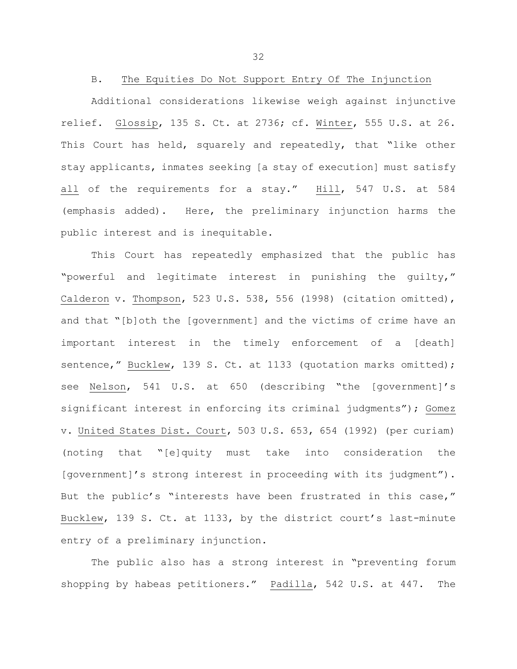B. The Equities Do Not Support Entry Of The Injunction

Additional considerations likewise weigh against injunctive relief. Glossip, 135 S. Ct. at 2736; cf. Winter, 555 U.S. at 26. This Court has held, squarely and repeatedly, that "like other stay applicants, inmates seeking [a stay of execution] must satisfy all of the requirements for a stay." Hill, 547 U.S. at 584 (emphasis added). Here, the preliminary injunction harms the public interest and is inequitable.

This Court has repeatedly emphasized that the public has "powerful and legitimate interest in punishing the guilty," Calderon v. Thompson, 523 U.S. 538, 556 (1998) (citation omitted), and that "[b]oth the [government] and the victims of crime have an important interest in the timely enforcement of a [death] sentence," Bucklew, 139 S. Ct. at 1133 (quotation marks omitted); see Nelson, 541 U.S. at 650 (describing "the [government]'s significant interest in enforcing its criminal judgments"); Gomez v. United States Dist. Court, 503 U.S. 653, 654 (1992) (per curiam) (noting that "[e]quity must take into consideration the [government]'s strong interest in proceeding with its judgment"). But the public's "interests have been frustrated in this case," Bucklew, 139 S. Ct. at 1133, by the district court's last-minute entry of a preliminary injunction.

The public also has a strong interest in "preventing forum shopping by habeas petitioners." Padilla, 542 U.S. at 447. The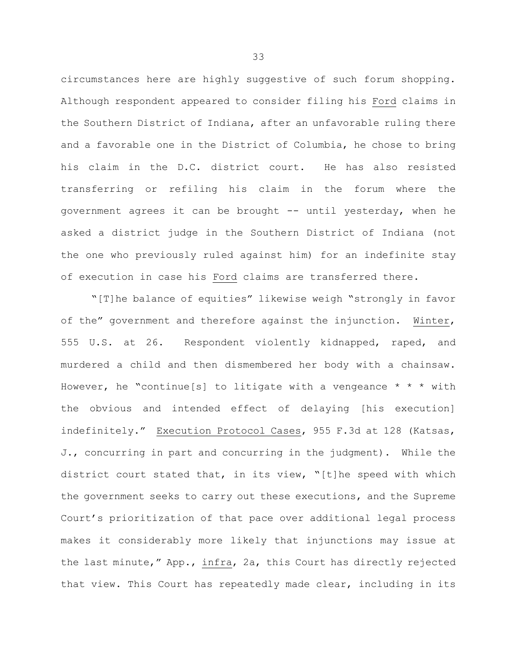circumstances here are highly suggestive of such forum shopping. Although respondent appeared to consider filing his Ford claims in the Southern District of Indiana, after an unfavorable ruling there and a favorable one in the District of Columbia, he chose to bring his claim in the D.C. district court. He has also resisted transferring or refiling his claim in the forum where the government agrees it can be brought -- until yesterday, when he asked a district judge in the Southern District of Indiana (not the one who previously ruled against him) for an indefinite stay of execution in case his Ford claims are transferred there.

"[T]he balance of equities" likewise weigh "strongly in favor of the" government and therefore against the injunction. Winter, 555 U.S. at 26. Respondent violently kidnapped, raped, and murdered a child and then dismembered her body with a chainsaw. However, he "continue[s] to litigate with a vengeance  $* * *$  with the obvious and intended effect of delaying [his execution] indefinitely." Execution Protocol Cases, 955 F.3d at 128 (Katsas, J., concurring in part and concurring in the judgment). While the district court stated that, in its view, "[t]he speed with which the government seeks to carry out these executions, and the Supreme Court's prioritization of that pace over additional legal process makes it considerably more likely that injunctions may issue at the last minute," App., infra, 2a, this Court has directly rejected that view. This Court has repeatedly made clear, including in its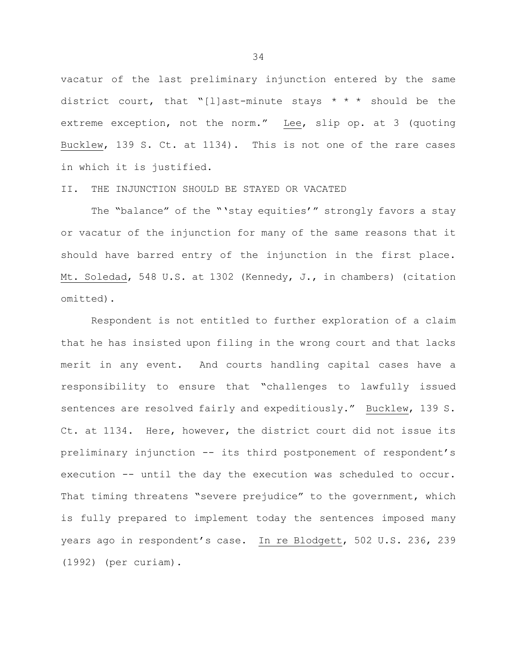vacatur of the last preliminary injunction entered by the same district court, that "[l]ast-minute stays  $* * *$  should be the extreme exception, not the norm." Lee, slip op. at 3 (quoting Bucklew, 139 S. Ct. at 1134). This is not one of the rare cases in which it is justified.

### II. THE INJUNCTION SHOULD BE STAYED OR VACATED

The "balance" of the "'stay equities'" strongly favors a stay or vacatur of the injunction for many of the same reasons that it should have barred entry of the injunction in the first place. Mt. Soledad, 548 U.S. at 1302 (Kennedy, J., in chambers) (citation omitted).

Respondent is not entitled to further exploration of a claim that he has insisted upon filing in the wrong court and that lacks merit in any event. And courts handling capital cases have a responsibility to ensure that "challenges to lawfully issued sentences are resolved fairly and expeditiously." Bucklew, 139 S. Ct. at 1134. Here, however, the district court did not issue its preliminary injunction -- its third postponement of respondent's execution -- until the day the execution was scheduled to occur. That timing threatens "severe prejudice" to the government, which is fully prepared to implement today the sentences imposed many years ago in respondent's case. In re Blodgett, 502 U.S. 236, 239 (1992) (per curiam).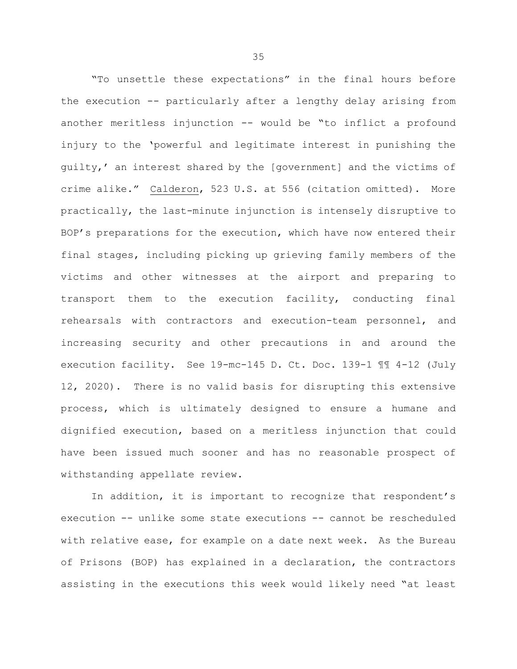"To unsettle these expectations" in the final hours before the execution -- particularly after a lengthy delay arising from another meritless injunction -- would be "to inflict a profound injury to the 'powerful and legitimate interest in punishing the guilty,' an interest shared by the [government] and the victims of crime alike." Calderon, 523 U.S. at 556 (citation omitted). More practically, the last-minute injunction is intensely disruptive to BOP's preparations for the execution, which have now entered their final stages, including picking up grieving family members of the victims and other witnesses at the airport and preparing to transport them to the execution facility, conducting final rehearsals with contractors and execution-team personnel, and increasing security and other precautions in and around the execution facility. See 19-mc-145 D. Ct. Doc. 139-1 ¶¶ 4-12 (July 12, 2020). There is no valid basis for disrupting this extensive process, which is ultimately designed to ensure a humane and dignified execution, based on a meritless injunction that could have been issued much sooner and has no reasonable prospect of withstanding appellate review.

In addition, it is important to recognize that respondent's execution -- unlike some state executions -- cannot be rescheduled with relative ease, for example on a date next week. As the Bureau of Prisons (BOP) has explained in a declaration, the contractors assisting in the executions this week would likely need "at least